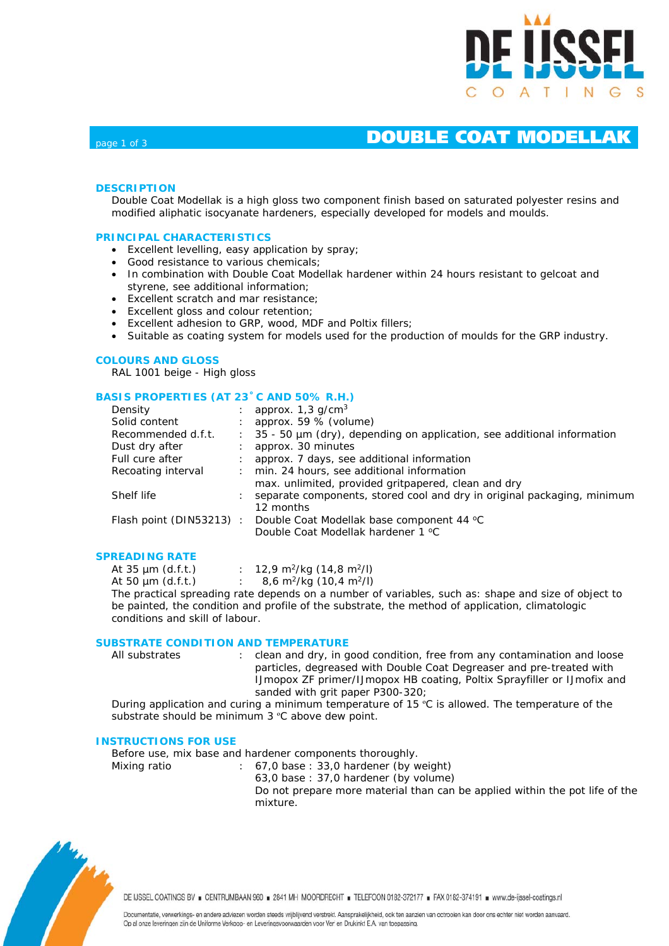

## **DOUBLE COAT MODELLAK**

### **DESCRIPTION**

Double Coat Modellak is a high gloss two component finish based on saturated polyester resins and modified aliphatic isocyanate hardeners, especially developed for models and moulds.

#### **PRINCIPAL CHARACTERISTICS**

- Excellent levelling, easy application by spray;
- Good resistance to various chemicals;
- In combination with Double Coat Modellak hardener within 24 hours resistant to gelcoat and styrene, see additional information;
- Excellent scratch and mar resistance;
- Excellent gloss and colour retention;
- Excellent adhesion to GRP, wood, MDF and Poltix fillers;
- Suitable as coating system for models used for the production of moulds for the GRP industry.

#### **COLOURS AND GLOSS**

RAL 1001 beige - High gloss

### **BASIS PROPERTIES (AT 23˚C AND 50% R.H.)**

| Density                 |    | approx. $1,3$ g/cm <sup>3</sup>                                         |
|-------------------------|----|-------------------------------------------------------------------------|
| Solid content           |    | approx. 59 % (volume)                                                   |
| Recommended d.f.t.      | ÷. | 35 - 50 µm (dry), depending on application, see additional information  |
| Dust dry after          |    | approx. 30 minutes                                                      |
| Full cure after         |    | approx. 7 days, see additional information                              |
| Recoating interval      |    | min. 24 hours, see additional information                               |
|                         |    | max. unlimited, provided gritpapered, clean and dry                     |
| Shelf life              |    | separate components, stored cool and dry in original packaging, minimum |
|                         |    | 12 months                                                               |
| Flash point (DIN53213): |    | Double Coat Modellak base component 44 °C                               |
|                         |    | Double Coat Modellak hardener 1 °C                                      |

#### **SPREADING RATE**

| At $35 \mu m$ (d.f.t.) | 12,9 m <sup>2</sup> /kg (14,8 m <sup>2</sup> /l) |
|------------------------|--------------------------------------------------|
| At 50 $\mu$ m (d.f.t.) | 8,6 m <sup>2</sup> /kg (10,4 m <sup>2</sup> /l)  |

The practical spreading rate depends on a number of variables, such as: shape and size of object to be painted, the condition and profile of the substrate, the method of application, climatologic conditions and skill of labour.

### **SUBSTRATE CONDITION AND TEMPERATURE**

All substrates : clean and dry, in good condition, free from any contamination and loose particles, degreased with Double Coat Degreaser and pre-treated with IJmopox ZF primer/IJmopox HB coating, Poltix Sprayfiller or IJmofix and sanded with grit paper P300-320;

During application and curing a minimum temperature of 15 ºC is allowed. The temperature of the substrate should be minimum 3 °C above dew point.

#### **INSTRUCTIONS FOR USE**

Before use, mix base and hardener components thoroughly.

Mixing ratio : 67,0 base : 33,0 hardener (by weight) 63,0 base : 37,0 hardener (by volume) Do not prepare more material than can be applied within the pot life of the mixture.



DE IJSSEL COATINGS BV E CENTRUMBAAN 960 = 2841 MH MOORDRECHT = TELEFOON 0182-372177 = FAX 0182-374191 = www.de-ijssel-coatings.nl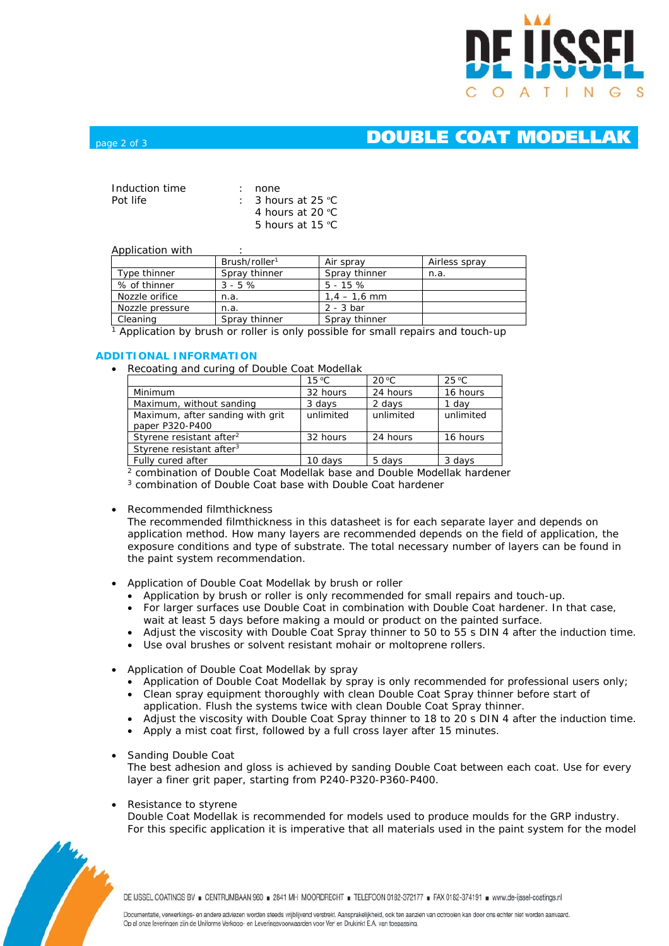

## page 2 of 3 **DOUBLE COAT MODELLAK**

| Induction time | : none                        |
|----------------|-------------------------------|
| Pot life       | $\therefore$ 3 hours at 25 °C |
|                | 4 hours at $20 \degree C$     |
|                | 5 hours at $15 \text{ °C}$    |

#### Application with

|                 | Brush/roller <sup>1</sup> | Air spray      | Airless spray |
|-----------------|---------------------------|----------------|---------------|
| Type thinner    | Spray thinner             | Spray thinner  | n.a.          |
| % of thinner    | $3 - 5\%$                 | $5 - 15\%$     |               |
| Nozzle orifice  | n.a.                      | $1.4 - 1.6$ mm |               |
| Nozzle pressure | n.a.                      | $2 - 3$ bar    |               |
| Cleaning        | Spray thinner             | Spray thinner  |               |

1 Application by brush or roller is only possible for small repairs and touch-up

#### **ADDITIONAL INFORMATION**

• Recoating and curing of Double Coat Modellak

|                                      | $15^{\circ}$ C | $20^{\circ}$ C | $25^{\circ}$ C |
|--------------------------------------|----------------|----------------|----------------|
| Minimum                              | 32 hours       | 24 hours       | 16 hours       |
| Maximum, without sanding             | 3 days         | 2 days         | 1 dav          |
| Maximum, after sanding with grit     | unlimited      | unlimited      | unlimited      |
| paper P320-P400                      |                |                |                |
| Styrene resistant after <sup>2</sup> | 32 hours       | 24 hours       | 16 hours       |
| Styrene resistant after <sup>3</sup> |                |                |                |
| Fully cured after                    | 10 days        | 5 days         | 3 days         |

2 combination of Double Coat Modellak base and Double Modellak hardener

3 combination of Double Coat base with Double Coat hardener

• Recommended filmthickness

The recommended filmthickness in this datasheet is for each separate layer and depends on application method. How many layers are recommended depends on the field of application, the exposure conditions and type of substrate. The total necessary number of layers can be found in the paint system recommendation.

- Application of Double Coat Modellak by brush or roller
	- $\bullet$  Application by brush or roller is only recommended for small repairs and touch-up.
	- For larger surfaces use Double Coat in combination with Double Coat hardener. In that case, wait at least 5 days before making a mould or product on the painted surface.
	- Adjust the viscosity with Double Coat Spray thinner to 50 to 55 s DIN 4 after the induction time.
	- Use oval brushes or solvent resistant mohair or moltoprene rollers.
- Application of Double Coat Modellak by spray
	- Application of Double Coat Modellak by spray is only recommended for professional users only; • Clean spray equipment thoroughly with clean Double Coat Spray thinner before start of
	- application. Flush the systems twice with clean Double Coat Spray thinner.
	- Adjust the viscosity with Double Coat Spray thinner to 18 to 20 s DIN 4 after the induction time.
	- Apply a mist coat first, followed by a full cross layer after 15 minutes.
- Sanding Double Coat

The best adhesion and gloss is achieved by sanding Double Coat between each coat. Use for every layer a finer grit paper, starting from P240-P320-P360-P400.

Resistance to styrene

Double Coat Modellak is recommended for models used to produce moulds for the GRP industry. For this specific application it is imperative that all materials used in the paint system for the model



DE IJSSEL COATINGS BV E CENTRUMBAAN 960 E 2841 MH MOORDRECHT E TELEFOON 0182-372177 E FAX 0182-374191 E www.de-ijssel-coatings.nl